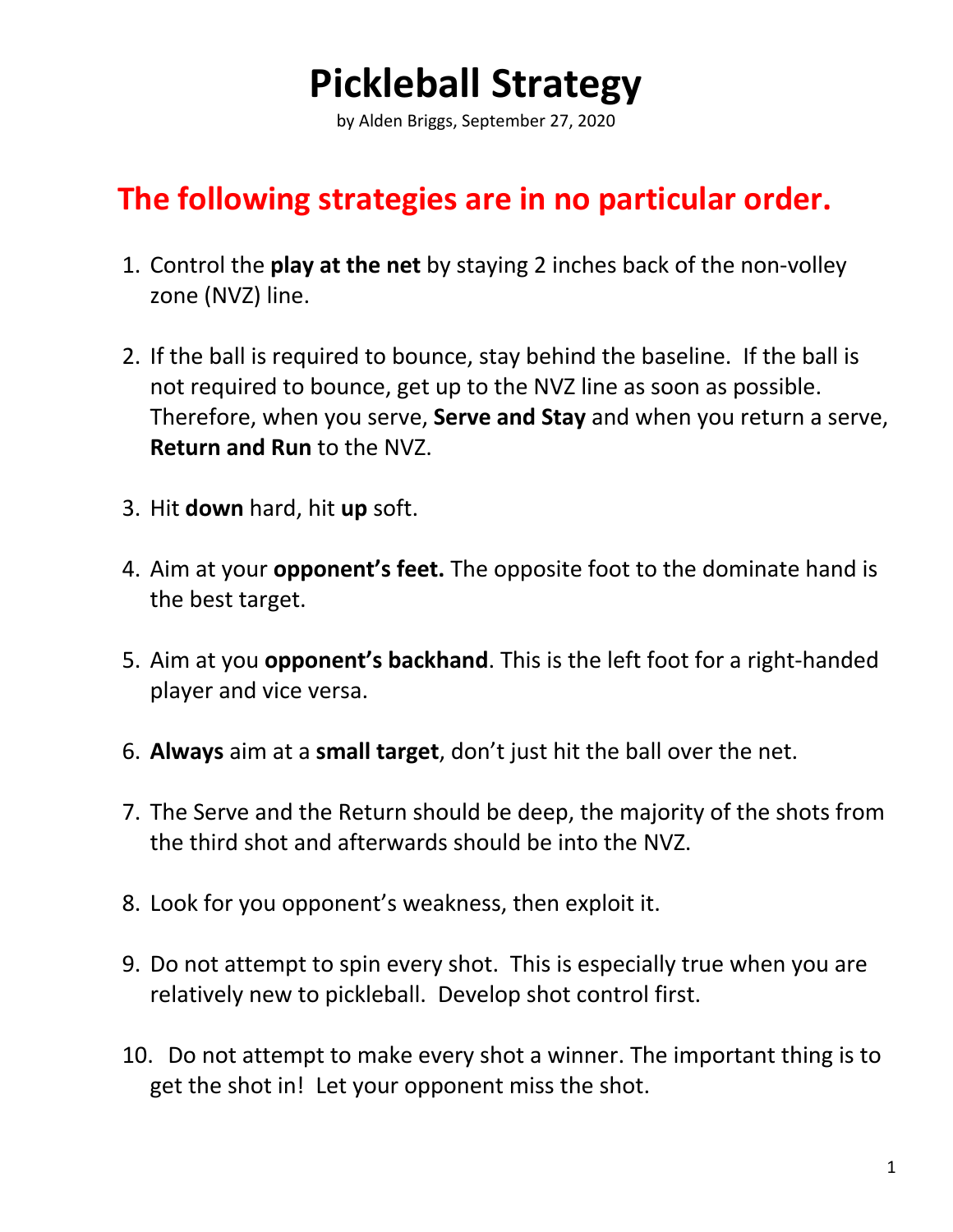## **Pickleball Strategy**

by Alden Briggs, September 27, 2020

## **The following strategies are in no particular order.**

- 1. Control the **play at the net** by staying 2 inches back of the non-volley zone (NVZ) line.
- 2. If the ball is required to bounce, stay behind the baseline. If the ball is not required to bounce, get up to the NVZ line as soon as possible. Therefore, when you serve, **Serve and Stay** and when you return a serve, **Return and Run** to the NVZ.
- 3. Hit **down** hard, hit **up** soft.
- 4. Aim at your **opponent's feet.** The opposite foot to the dominate hand is the best target.
- 5. Aim at you **opponent's backhand**. This is the left foot for a right-handed player and vice versa.
- 6. **Always** aim at a **small target**, don't just hit the ball over the net.
- 7. The Serve and the Return should be deep, the majority of the shots from the third shot and afterwards should be into the NVZ.
- 8. Look for you opponent's weakness, then exploit it.
- 9. Do not attempt to spin every shot. This is especially true when you are relatively new to pickleball. Develop shot control first.
- 10. Do not attempt to make every shot a winner. The important thing is to get the shot in! Let your opponent miss the shot.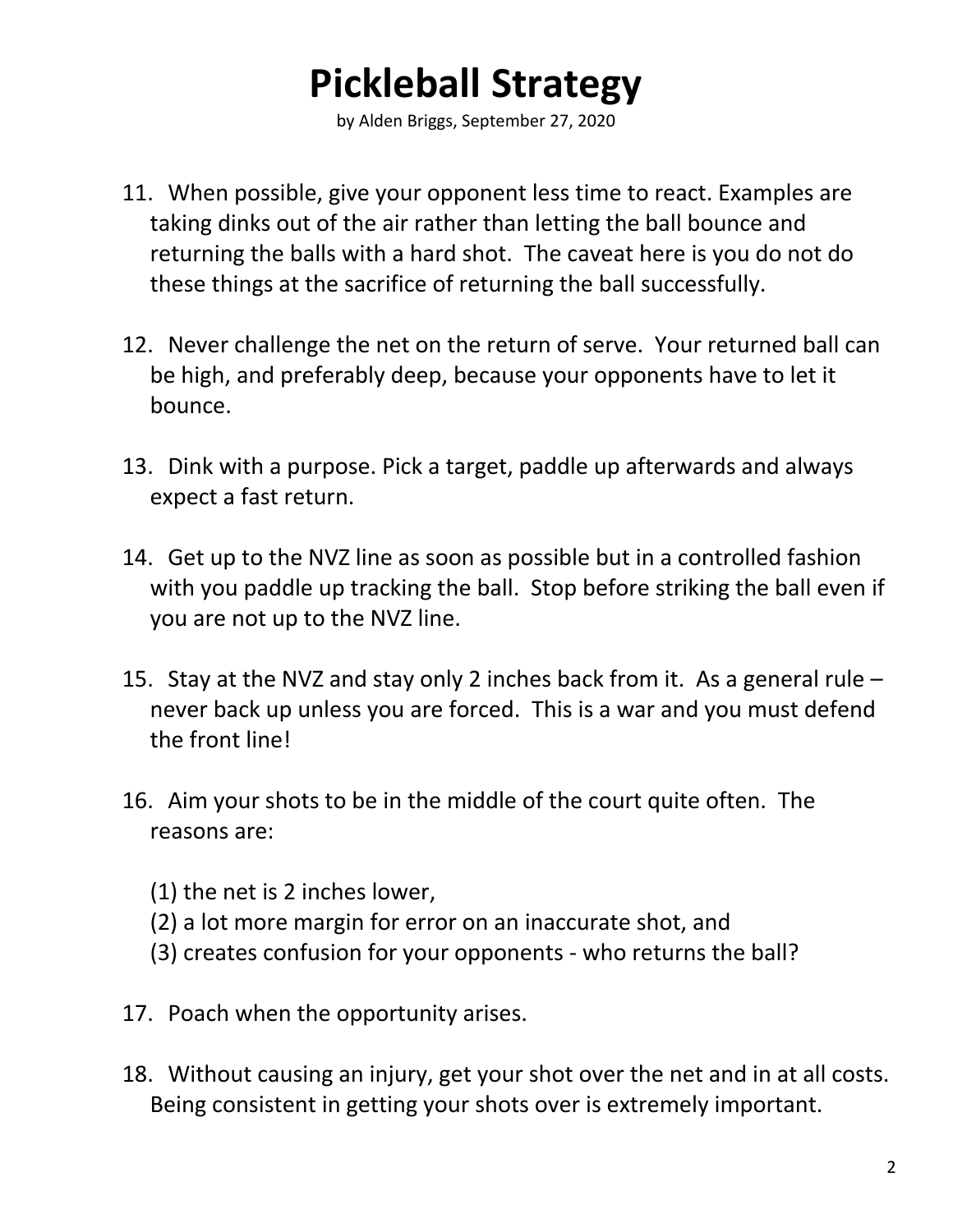## **Pickleball Strategy**

by Alden Briggs, September 27, 2020

- 11. When possible, give your opponent less time to react. Examples are taking dinks out of the air rather than letting the ball bounce and returning the balls with a hard shot. The caveat here is you do not do these things at the sacrifice of returning the ball successfully.
- 12. Never challenge the net on the return of serve. Your returned ball can be high, and preferably deep, because your opponents have to let it bounce.
- 13. Dink with a purpose. Pick a target, paddle up afterwards and always expect a fast return.
- 14. Get up to the NVZ line as soon as possible but in a controlled fashion with you paddle up tracking the ball. Stop before striking the ball even if you are not up to the NVZ line.
- 15. Stay at the NVZ and stay only 2 inches back from it. As a general rule never back up unless you are forced. This is a war and you must defend the front line!
- 16. Aim your shots to be in the middle of the court quite often. The reasons are:
	- (1) the net is 2 inches lower,
	- (2) a lot more margin for error on an inaccurate shot, and
	- (3) creates confusion for your opponents who returns the ball?
- 17. Poach when the opportunity arises.
- 18. Without causing an injury, get your shot over the net and in at all costs. Being consistent in getting your shots over is extremely important.